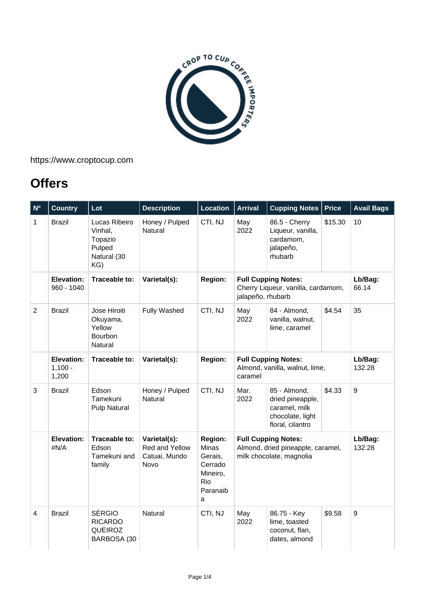

https://www.croptocup.com

## **Offers**

| N <sup>o</sup> | <b>Country</b>                   | Lot                                                                 | <b>Description</b>                                      | <b>Location</b>                                                            | <b>Arrival</b>                                                                              | <b>Cupping Notes</b>                                                                      | <b>Price</b> | <b>Avail Bags</b> |
|----------------|----------------------------------|---------------------------------------------------------------------|---------------------------------------------------------|----------------------------------------------------------------------------|---------------------------------------------------------------------------------------------|-------------------------------------------------------------------------------------------|--------------|-------------------|
| $\mathbf{1}$   | <b>Brazil</b>                    | Lucas Ribeiro<br>Vinhal,<br>Topazio<br>Pulped<br>Natural (30<br>KG) | Honey / Pulped<br>Natural                               | CTI, NJ                                                                    | May<br>2022                                                                                 | 86.5 - Cherry<br>Liqueur, vanilla,<br>cardamom,<br>jalapeño,<br>rhubarb                   | \$15.30      | 10                |
|                | Elevation:<br>960 - 1040         | Traceable to:                                                       | Varietal(s):                                            | <b>Region:</b>                                                             | <b>Full Cupping Notes:</b><br>Cherry Liqueur, vanilla, cardamom,<br>jalapeño, rhubarb       |                                                                                           |              | Lb/Bag:<br>66.14  |
| $\overline{2}$ | <b>Brazil</b>                    | Jose Hiroiti<br>Okuyama,<br>Yellow<br>Bourbon<br>Natural            | <b>Fully Washed</b>                                     | CTI, NJ                                                                    | May<br>2022                                                                                 | 84 - Almond,<br>vanilla, walnut,<br>lime, caramel                                         | \$4.54       | 35                |
|                | Elevation:<br>$1,100 -$<br>1,200 | Traceable to:                                                       | Varietal(s):                                            | <b>Region:</b>                                                             | <b>Full Cupping Notes:</b><br>Almond, vanilla, walnut, lime,<br>caramel                     |                                                                                           |              | Lb/Bag:<br>132.28 |
| 3              | <b>Brazil</b>                    | Edson<br>Tamekuni<br>Pulp Natural                                   | Honey / Pulped<br>Natural                               | CTI, NJ                                                                    | Mar.<br>2022                                                                                | 85 - Almond,<br>dried pineapple,<br>caramel, milk<br>chocolate, light<br>floral, cilantro | \$4.33       | $\boldsymbol{9}$  |
|                | <b>Elevation:</b><br>#N/A        | Traceable to:<br>Edson<br>Tamekuni and<br>family                    | Varietal(s):<br>Red and Yellow<br>Catuai, Mundo<br>Novo | Region:<br>Minas<br>Gerais,<br>Cerrado<br>Mineiro,<br>Rio<br>Paranaib<br>a | <b>Full Cupping Notes:</b><br>Almond, dried pineapple, caramel,<br>milk chocolate, magnolia |                                                                                           |              | Lb/Bag:<br>132.28 |
| $\overline{4}$ | <b>Brazil</b>                    | <b>SÉRGIO</b><br><b>RICARDO</b><br><b>QUEIROZ</b><br>BARBOSA (30    | Natural                                                 | CTI, NJ                                                                    | May<br>2022                                                                                 | 86.75 - Key<br>lime, toasted<br>coconut, flan,<br>dates, almond                           | \$9.58       | $\boldsymbol{9}$  |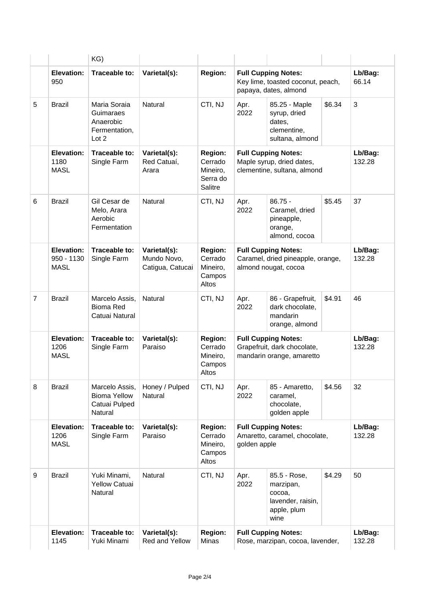|                                         | KG)                                                               |                                                 |                                                              |                                                                                          |                                                                                 |        |                   |
|-----------------------------------------|-------------------------------------------------------------------|-------------------------------------------------|--------------------------------------------------------------|------------------------------------------------------------------------------------------|---------------------------------------------------------------------------------|--------|-------------------|
| Elevation:<br>950                       | Traceable to:                                                     | Varietal(s):                                    | <b>Region:</b>                                               | <b>Full Cupping Notes:</b><br>Key lime, toasted coconut, peach,<br>papaya, dates, almond |                                                                                 |        | Lb/Bag:<br>66.14  |
| 5<br><b>Brazil</b>                      | Maria Soraia<br>Guimaraes<br>Anaerobic<br>Fermentation,<br>Lot 2  | <b>Natural</b>                                  | CTI, NJ                                                      | Apr.<br>2022                                                                             | 85.25 - Maple<br>syrup, dried<br>dates,<br>clementine,<br>sultana, almond       | \$6.34 | $\mathbf{3}$      |
| Elevation:<br>1180<br><b>MASL</b>       | Traceable to:<br>Single Farm                                      | Varietal(s):<br>Red Catuaí,<br>Arara            | <b>Region:</b><br>Cerrado<br>Mineiro,<br>Serra do<br>Salitre | <b>Full Cupping Notes:</b><br>Maple syrup, dried dates,<br>clementine, sultana, almond   |                                                                                 |        | Lb/Bag:<br>132.28 |
| <b>Brazil</b>                           | Gil Cesar de<br>Melo, Arara<br>Aerobic<br>Fermentation            | Natural                                         | CTI, NJ                                                      | Apr.<br>2022                                                                             | $86.75 -$<br>Caramel, dried<br>pineapple,<br>orange,<br>almond, cocoa           | \$5.45 | 37                |
| Elevation:<br>950 - 1130<br><b>MASL</b> | Traceable to:<br>Single Farm                                      | Varietal(s):<br>Mundo Novo,<br>Catigua, Catucai | <b>Region:</b><br>Cerrado<br>Mineiro,<br>Campos<br>Altos     | <b>Full Cupping Notes:</b><br>Caramel, dried pineapple, orange,<br>almond nougat, cocoa  |                                                                                 |        | Lb/Bag:<br>132.28 |
| $\overline{7}$<br><b>Brazil</b>         | Marcelo Assis,<br><b>Bioma Red</b><br>Catuai Natural              | Natural                                         | CTI, NJ                                                      | Apr.<br>2022                                                                             | 86 - Grapefruit,<br>dark chocolate,<br>mandarin<br>orange, almond               | \$4.91 | 46                |
| Elevation:<br>1206<br><b>MASL</b>       | Traceable to:<br>Single Farm                                      | Varietal(s):<br>Paraiso                         | <b>Region:</b><br>Cerrado<br>Mineiro,<br>Campos<br>Altos     | <b>Full Cupping Notes:</b><br>Grapefruit, dark chocolate,<br>mandarin orange, amaretto   |                                                                                 |        | Lb/Bag:<br>132.28 |
| <b>Brazil</b>                           | Marcelo Assis,<br><b>Bioma Yellow</b><br>Catuai Pulped<br>Natural | Honey / Pulped<br>Natural                       | CTI, NJ                                                      | Apr.<br>2022                                                                             | 85 - Amaretto,<br>caramel,<br>chocolate,<br>golden apple                        | \$4.56 | 32                |
| Elevation:<br>1206<br><b>MASL</b>       | Traceable to:<br>Single Farm                                      | Varietal(s):<br>Paraiso                         | <b>Region:</b><br>Cerrado<br>Mineiro,<br>Campos<br>Altos     | <b>Full Cupping Notes:</b><br>Amaretto, caramel, chocolate,<br>golden apple              |                                                                                 |        | Lb/Bag:<br>132.28 |
| 9<br>Brazil                             | Yuki Minami,<br><b>Yellow Catuai</b><br>Natural                   | Natural                                         | CTI, NJ                                                      | Apr.<br>2022                                                                             | 85.5 - Rose,<br>marzipan,<br>cocoa,<br>lavender, raisin,<br>apple, plum<br>wine | \$4.29 | 50                |
| Elevation:<br>1145                      | Traceable to:<br>Yuki Minami                                      | Varietal(s):<br>Red and Yellow                  | <b>Region:</b><br>Minas                                      | <b>Full Cupping Notes:</b><br>Rose, marzipan, cocoa, lavender,                           |                                                                                 |        | Lb/Bag:<br>132.28 |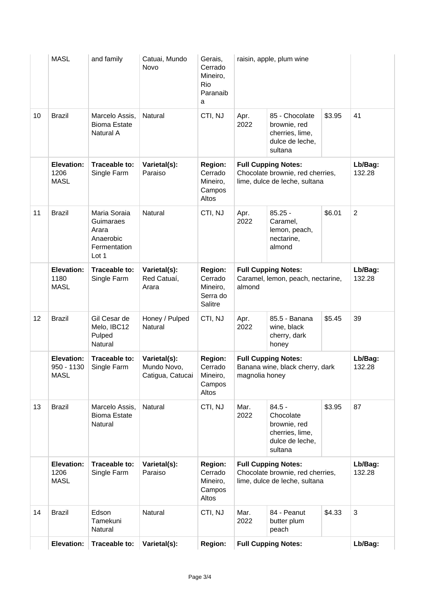|    | <b>MASL</b>                                    | and family                                                               | Catuai, Mundo<br>Novo                           | Gerais,<br>Cerrado<br>Mineiro,<br>Rio<br>Paranaib<br>a       | raisin, apple, plum wine                                                                        |                                                                                        |        |                   |
|----|------------------------------------------------|--------------------------------------------------------------------------|-------------------------------------------------|--------------------------------------------------------------|-------------------------------------------------------------------------------------------------|----------------------------------------------------------------------------------------|--------|-------------------|
| 10 | <b>Brazil</b>                                  | Marcelo Assis,<br><b>Bioma Estate</b><br>Natural A                       | Natural                                         | CTI, NJ                                                      | Apr.<br>2022                                                                                    | 85 - Chocolate<br>brownie, red<br>cherries, lime,<br>dulce de leche,<br>sultana        | \$3.95 | 41                |
|    | <b>Elevation:</b><br>1206<br><b>MASL</b>       | Traceable to:<br>Single Farm                                             | Varietal(s):<br>Paraiso                         | <b>Region:</b><br>Cerrado<br>Mineiro,<br>Campos<br>Altos     | <b>Full Cupping Notes:</b><br>Chocolate brownie, red cherries,<br>lime, dulce de leche, sultana |                                                                                        |        | Lb/Bag:<br>132.28 |
| 11 | <b>Brazil</b>                                  | Maria Soraia<br>Guimaraes<br>Arara<br>Anaerobic<br>Fermentation<br>Lot 1 | Natural                                         | CTI, NJ                                                      | Apr.<br>2022                                                                                    | $85.25 -$<br>Caramel,<br>lemon, peach,<br>nectarine,<br>almond                         | \$6.01 | $\overline{2}$    |
|    | Elevation:<br>1180<br><b>MASL</b>              | Traceable to:<br>Single Farm                                             | Varietal(s):<br>Red Catuaí,<br>Arara            | <b>Region:</b><br>Cerrado<br>Mineiro,<br>Serra do<br>Salitre | <b>Full Cupping Notes:</b><br>Caramel, lemon, peach, nectarine,<br>almond                       |                                                                                        |        | Lb/Bag:<br>132.28 |
| 12 | <b>Brazil</b>                                  | Gil Cesar de<br>Melo, IBC12<br>Pulped<br>Natural                         | Honey / Pulped<br>Natural                       | CTI, NJ                                                      | Apr.<br>2022                                                                                    | 85.5 - Banana<br>wine, black<br>cherry, dark<br>honey                                  | \$5.45 | 39                |
|    | <b>Elevation:</b><br>950 - 1130<br><b>MASL</b> | Traceable to:<br>Single Farm                                             | Varietal(s):<br>Mundo Novo,<br>Catigua, Catucai | <b>Region:</b><br>Cerrado<br>Mineiro,<br>Campos<br>Altos     | <b>Full Cupping Notes:</b><br>Banana wine, black cherry, dark<br>magnolia honey                 |                                                                                        |        | Lb/Bag:<br>132.28 |
| 13 | <b>Brazil</b>                                  | Marcelo Assis,<br><b>Bioma Estate</b><br>Natural                         | Natural                                         | CTI, NJ                                                      | Mar.<br>2022                                                                                    | $84.5 -$<br>Chocolate<br>brownie, red<br>cherries, lime,<br>dulce de leche,<br>sultana | \$3.95 | 87                |
|    | Elevation:<br>1206<br><b>MASL</b>              | Traceable to:<br>Single Farm                                             | Varietal(s):<br>Paraiso                         | <b>Region:</b><br>Cerrado<br>Mineiro,<br>Campos<br>Altos     | <b>Full Cupping Notes:</b><br>Chocolate brownie, red cherries,<br>lime, dulce de leche, sultana |                                                                                        |        | Lb/Bag:<br>132.28 |
| 14 | <b>Brazil</b>                                  | Edson<br>Tamekuni<br>Natural                                             | Natural                                         | CTI, NJ                                                      | Mar.<br>2022                                                                                    | 84 - Peanut<br>butter plum<br>peach                                                    | \$4.33 | $\mathbf{3}$      |
|    | Elevation:                                     | Traceable to:                                                            | Varietal(s):                                    | <b>Region:</b>                                               |                                                                                                 | <b>Full Cupping Notes:</b>                                                             |        |                   |